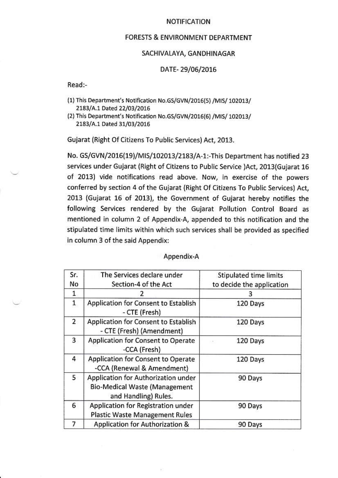#### **NOTIFICATION**

# **FORESTS & ENVIRONMENT DEPARTMENT**

## SACHIVALAYA, GANDHINAGAR

## DATE-29/06/2016

Read:-

- (1) This Department's Notification No.GS/GVN/2016(5) /MIS/ 102013/ 2183/A.1 Dated 22/03/2016
- (2) This Department's Notification No.GS/GVN/2016(6) /MIS/ 102013/ 2183/A.1 Dated 31/03/2016

Gujarat (Right Of Citizens To Public Services) Act. 2013.

No. GS/GVN/2016(19)/MIS/102013/2183/A-1:-This Department has notified 23 services under Gujarat (Right of Citizens to Public Service )Act, 2013(Gujarat 16 of 2013) vide notifications read above. Now, in exercise of the powers conferred by section 4 of the Gujarat (Right Of Citizens To Public Services) Act, 2013 (Gujarat 16 of 2013), the Government of Gujarat hereby notifies the following Services rendered by the Gujarat Pollution Control Board as mentioned in column 2 of Appendix-A, appended to this notification and the stipulated time limits within which such services shall be provided as specified in column 3 of the said Appendix:

| Sr.<br>No      | The Services declare under<br>Section-4 of the Act                                                  | Stipulated time limits<br>to decide the application |
|----------------|-----------------------------------------------------------------------------------------------------|-----------------------------------------------------|
| 1              |                                                                                                     |                                                     |
| $\mathbf{1}$   | Application for Consent to Establish<br>- CTE (Fresh)                                               | 120 Days                                            |
| $\overline{2}$ | Application for Consent to Establish<br>- CTE (Fresh) (Amendment)                                   | 120 Days                                            |
| 3              | Application for Consent to Operate<br>-CCA (Fresh)                                                  | 120 Days                                            |
| 4              | Application for Consent to Operate<br>-CCA (Renewal & Amendment)                                    | 120 Days                                            |
| 5              | Application for Authorization under<br><b>Bio-Medical Waste (Management</b><br>and Handling) Rules. | 90 Days                                             |
| 6              | Application for Registration under<br><b>Plastic Waste Management Rules</b>                         | 90 Days                                             |
| 7              | Application for Authorization &                                                                     | 90 Days                                             |

#### Appendix-A